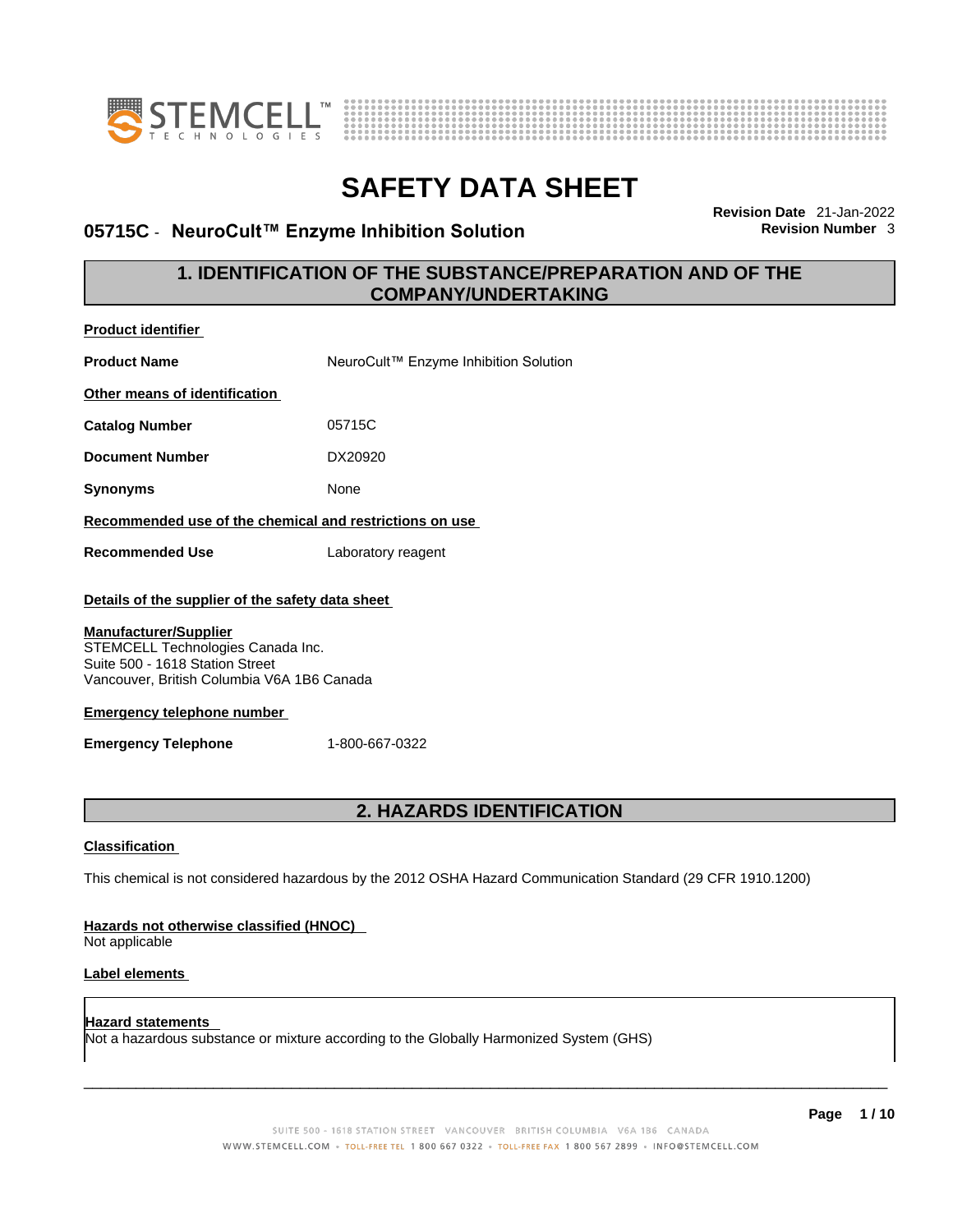

**Product identifier**



# **SAFETY DATA SHEET**

## **05715C ⋅ NeuroCult™ Enzyme Inhibition Solution**

**Revision Date** 21-Jan-2022

## **1. IDENTIFICATION OF THE SUBSTANCE/PREPARATION AND OF THE COMPANY/UNDERTAKING**

| <b>Product Identifier</b>                                                                                                                                                                              |                                                                                                             |
|--------------------------------------------------------------------------------------------------------------------------------------------------------------------------------------------------------|-------------------------------------------------------------------------------------------------------------|
| <b>Product Name</b>                                                                                                                                                                                    | NeuroCult™ Enzyme Inhibition Solution                                                                       |
| Other means of identification                                                                                                                                                                          |                                                                                                             |
| <b>Catalog Number</b>                                                                                                                                                                                  | 05715C                                                                                                      |
| <b>Document Number</b>                                                                                                                                                                                 | DX20920                                                                                                     |
| <b>Synonyms</b>                                                                                                                                                                                        | None                                                                                                        |
|                                                                                                                                                                                                        | Recommended use of the chemical and restrictions on use                                                     |
| <b>Recommended Use</b>                                                                                                                                                                                 | Laboratory reagent                                                                                          |
| Details of the supplier of the safety data sheet<br><b>Manufacturer/Supplier</b><br>STEMCELL Technologies Canada Inc.<br>Suite 500 - 1618 Station Street<br>Vancouver, British Columbia V6A 1B6 Canada |                                                                                                             |
| <b>Emergency telephone number</b>                                                                                                                                                                      |                                                                                                             |
| <b>Emergency Telephone</b>                                                                                                                                                                             | 1-800-667-0322                                                                                              |
|                                                                                                                                                                                                        |                                                                                                             |
|                                                                                                                                                                                                        | 2. HAZARDS IDENTIFICATION                                                                                   |
| <b>Classification</b>                                                                                                                                                                                  |                                                                                                             |
|                                                                                                                                                                                                        | This chemical is not considered hazardous by the 2012 OSHA Hazard Communication Standard (29 CFR 1910.1200) |
| Hazards not otherwise classified (HNOC)<br>Not applicable                                                                                                                                              |                                                                                                             |
| Label elements                                                                                                                                                                                         |                                                                                                             |
| <b>Hazard statements</b>                                                                                                                                                                               | Not a hazardous substance or mixture according to the Globally Harmonized System (GHS)                      |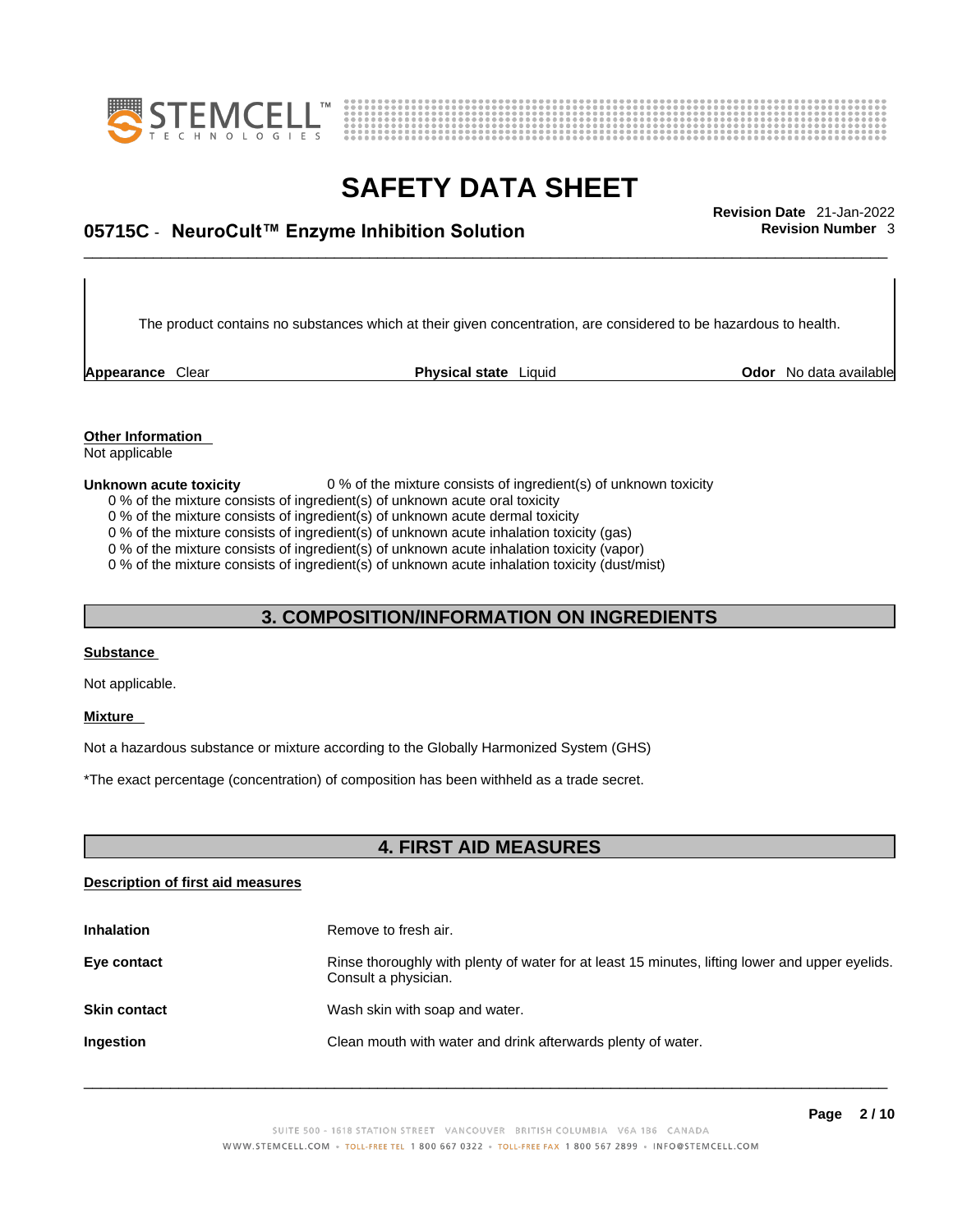



# \_\_\_\_\_\_\_\_\_\_\_\_\_\_\_\_\_\_\_\_\_\_\_\_\_\_\_\_\_\_\_\_\_\_\_\_\_\_\_\_\_\_\_\_\_\_\_\_\_\_\_\_\_\_\_\_\_\_\_\_\_\_\_\_\_\_\_\_\_\_\_\_\_\_\_\_\_\_\_\_\_\_\_\_\_\_\_\_\_\_\_\_\_ **Revision Date** 21-Jan-2022 **05715C** - **NeuroCult™ Enzyme Inhibition Solution Revision Number** 3

The product contains no substances which at their given concentration, are considered to be hazardous to health.

**Appearance** Clear **Physical state** Liquid

**Odor** No data available

**Other Information**  Not applicable

#### **Unknown acute toxicity** 0 % of the mixture consists of ingredient(s) of unknown toxicity

0 % of the mixture consists of ingredient(s) of unknown acute oral toxicity

0 % of the mixture consists of ingredient(s) of unknown acute dermal toxicity

0 % of the mixture consists of ingredient(s) of unknown acute inhalation toxicity (gas)

0 % of the mixture consists of ingredient(s) of unknown acute inhalation toxicity (vapor)

0 % of the mixture consists of ingredient(s) of unknown acute inhalation toxicity (dust/mist)

## **3. COMPOSITION/INFORMATION ON INGREDIENTS**

#### **Substance**

Not applicable.

#### **Mixture**

Not a hazardous substance or mixture according to the Globally Harmonized System (GHS)

\*The exact percentage (concentration) of composition has been withheld as a trade secret.

## **4. FIRST AID MEASURES**

#### **Description of first aid measures**

| <b>Inhalation</b>   | Remove to fresh air.                                                                                                    |
|---------------------|-------------------------------------------------------------------------------------------------------------------------|
| Eye contact         | Rinse thoroughly with plenty of water for at least 15 minutes, lifting lower and upper eyelids.<br>Consult a physician. |
| <b>Skin contact</b> | Wash skin with soap and water.                                                                                          |
| Ingestion           | Clean mouth with water and drink afterwards plenty of water.                                                            |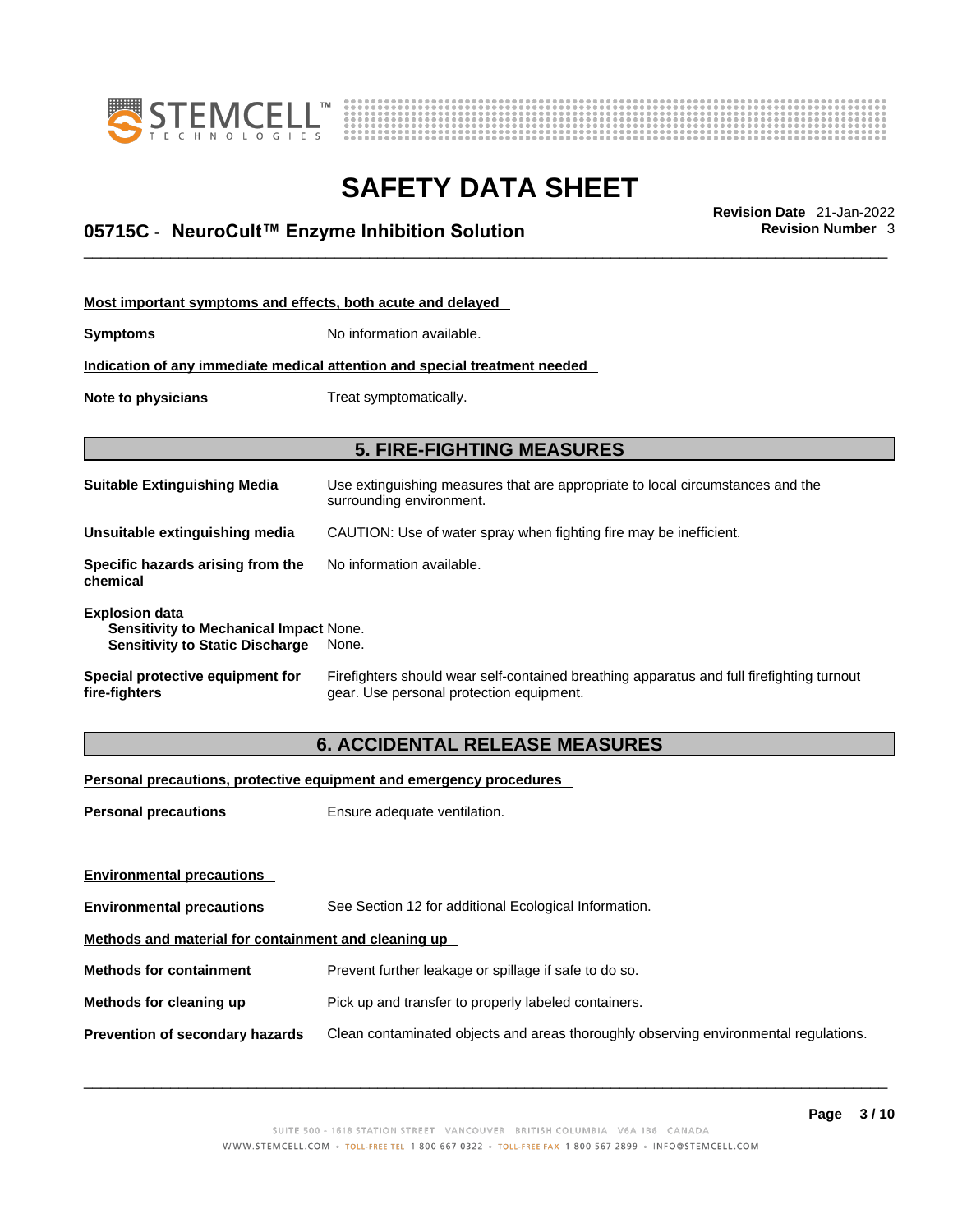



# \_\_\_\_\_\_\_\_\_\_\_\_\_\_\_\_\_\_\_\_\_\_\_\_\_\_\_\_\_\_\_\_\_\_\_\_\_\_\_\_\_\_\_\_\_\_\_\_\_\_\_\_\_\_\_\_\_\_\_\_\_\_\_\_\_\_\_\_\_\_\_\_\_\_\_\_\_\_\_\_\_\_\_\_\_\_\_\_\_\_\_\_\_ **Revision Date** 21-Jan-2022 **05715C** - **NeuroCult™ Enzyme Inhibition Solution Revision Number** 3

| Most important symptoms and effects, both acute and delayed                                                      |                                                                                                                                       |  |  |  |  |
|------------------------------------------------------------------------------------------------------------------|---------------------------------------------------------------------------------------------------------------------------------------|--|--|--|--|
| <b>Symptoms</b>                                                                                                  | No information available.                                                                                                             |  |  |  |  |
| Indication of any immediate medical attention and special treatment needed                                       |                                                                                                                                       |  |  |  |  |
| Note to physicians<br>Treat symptomatically.                                                                     |                                                                                                                                       |  |  |  |  |
|                                                                                                                  |                                                                                                                                       |  |  |  |  |
| <b>5. FIRE-FIGHTING MEASURES</b>                                                                                 |                                                                                                                                       |  |  |  |  |
| <b>Suitable Extinguishing Media</b>                                                                              | Use extinguishing measures that are appropriate to local circumstances and the<br>surrounding environment.                            |  |  |  |  |
| Unsuitable extinguishing media                                                                                   | CAUTION: Use of water spray when fighting fire may be inefficient.                                                                    |  |  |  |  |
| Specific hazards arising from the<br>chemical                                                                    | No information available.                                                                                                             |  |  |  |  |
| <b>Explosion data</b><br><b>Sensitivity to Mechanical Impact None.</b><br><b>Sensitivity to Static Discharge</b> | None.                                                                                                                                 |  |  |  |  |
| Special protective equipment for<br>fire-fighters                                                                | Firefighters should wear self-contained breathing apparatus and full firefighting turnout<br>gear. Use personal protection equipment. |  |  |  |  |

## **6. ACCIDENTAL RELEASE MEASURES**

### **Personal precautions, protective equipment and emergency procedures**

| <b>Personal precautions</b>                          | Ensure adequate ventilation.                                                         |
|------------------------------------------------------|--------------------------------------------------------------------------------------|
|                                                      |                                                                                      |
| <b>Environmental precautions</b>                     |                                                                                      |
| <b>Environmental precautions</b>                     | See Section 12 for additional Ecological Information.                                |
| Methods and material for containment and cleaning up |                                                                                      |
| <b>Methods for containment</b>                       | Prevent further leakage or spillage if safe to do so.                                |
| Methods for cleaning up                              | Pick up and transfer to properly labeled containers.                                 |
| Prevention of secondary hazards                      | Clean contaminated objects and areas thoroughly observing environmental regulations. |
|                                                      |                                                                                      |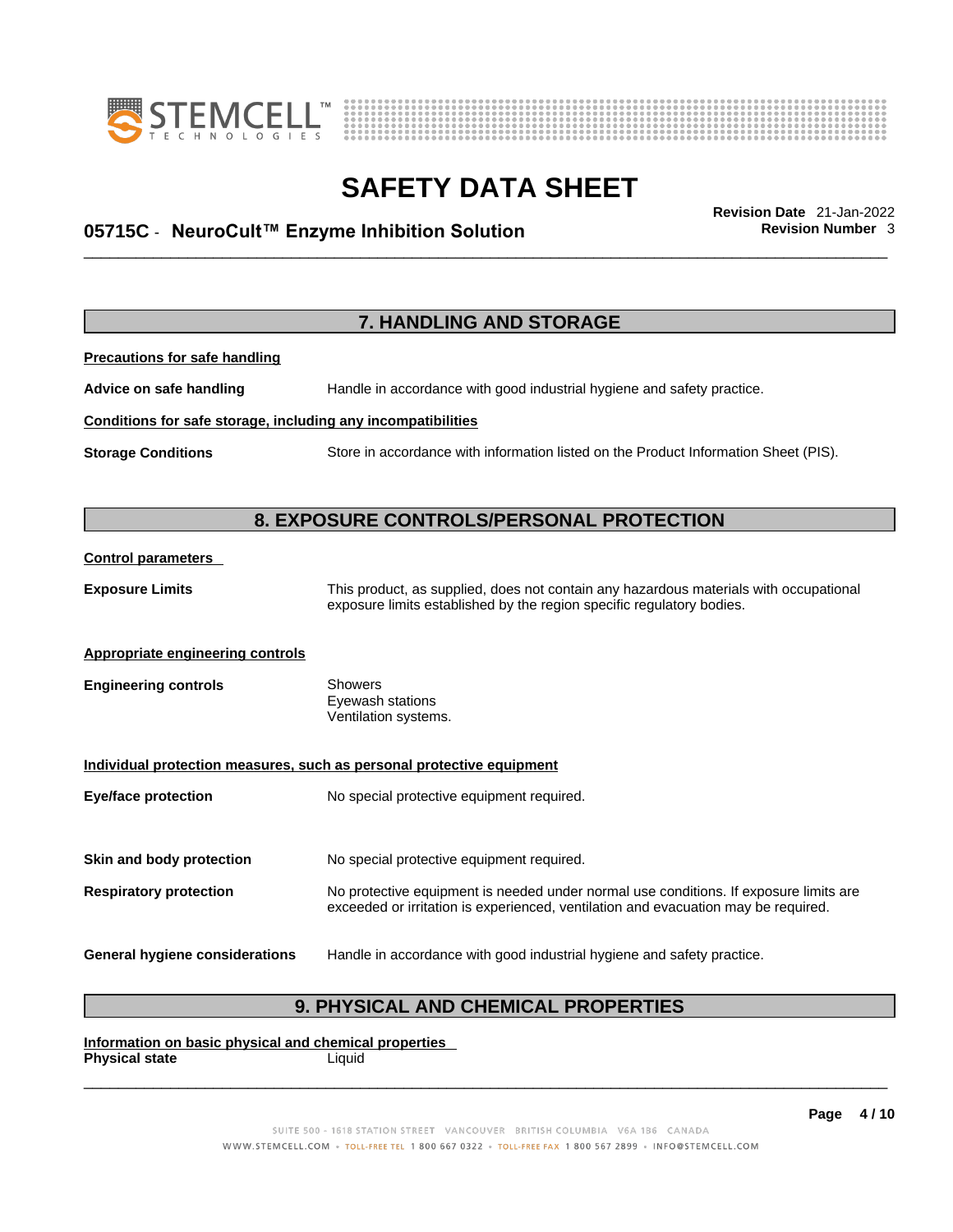



# \_\_\_\_\_\_\_\_\_\_\_\_\_\_\_\_\_\_\_\_\_\_\_\_\_\_\_\_\_\_\_\_\_\_\_\_\_\_\_\_\_\_\_\_\_\_\_\_\_\_\_\_\_\_\_\_\_\_\_\_\_\_\_\_\_\_\_\_\_\_\_\_\_\_\_\_\_\_\_\_\_\_\_\_\_\_\_\_\_\_\_\_\_ **Revision Date** 21-Jan-2022 **05715C** - **NeuroCult™ Enzyme Inhibition Solution Revision Number** 3

**7. HANDLING AND STORAGE Precautions for safe handling Advice on safe handling** Handle in accordance with good industrial hygiene and safety practice. **Conditions for safe storage, including any incompatibilities Storage Conditions** Store in accordance with information listed on the Product Information Sheet (PIS). **8. EXPOSURE CONTROLS/PERSONAL PROTECTION Control parameters Exposure Limits** This product, as supplied, does not contain any hazardous materials with occupational exposure limits established by the region specific regulatory bodies. **Appropriate engineering controls Engineering controls** Showers Eyewash stations Ventilation systems. **Individual protection measures, such as personal protective equipment Eye/face protection** No special protective equipment required. **Skin and body protection** No special protective equipment required. **Respiratory protection** No protective equipment is needed under normal use conditions. If exposure limits are exceeded or irritation is experienced, ventilation and evacuation may be required. **General hygiene considerations** Handle in accordance with good industrial hygiene and safety practice.

## **9. PHYSICAL AND CHEMICAL PROPERTIES**

**Information on basic physical and chemical properties Physical state** Liquid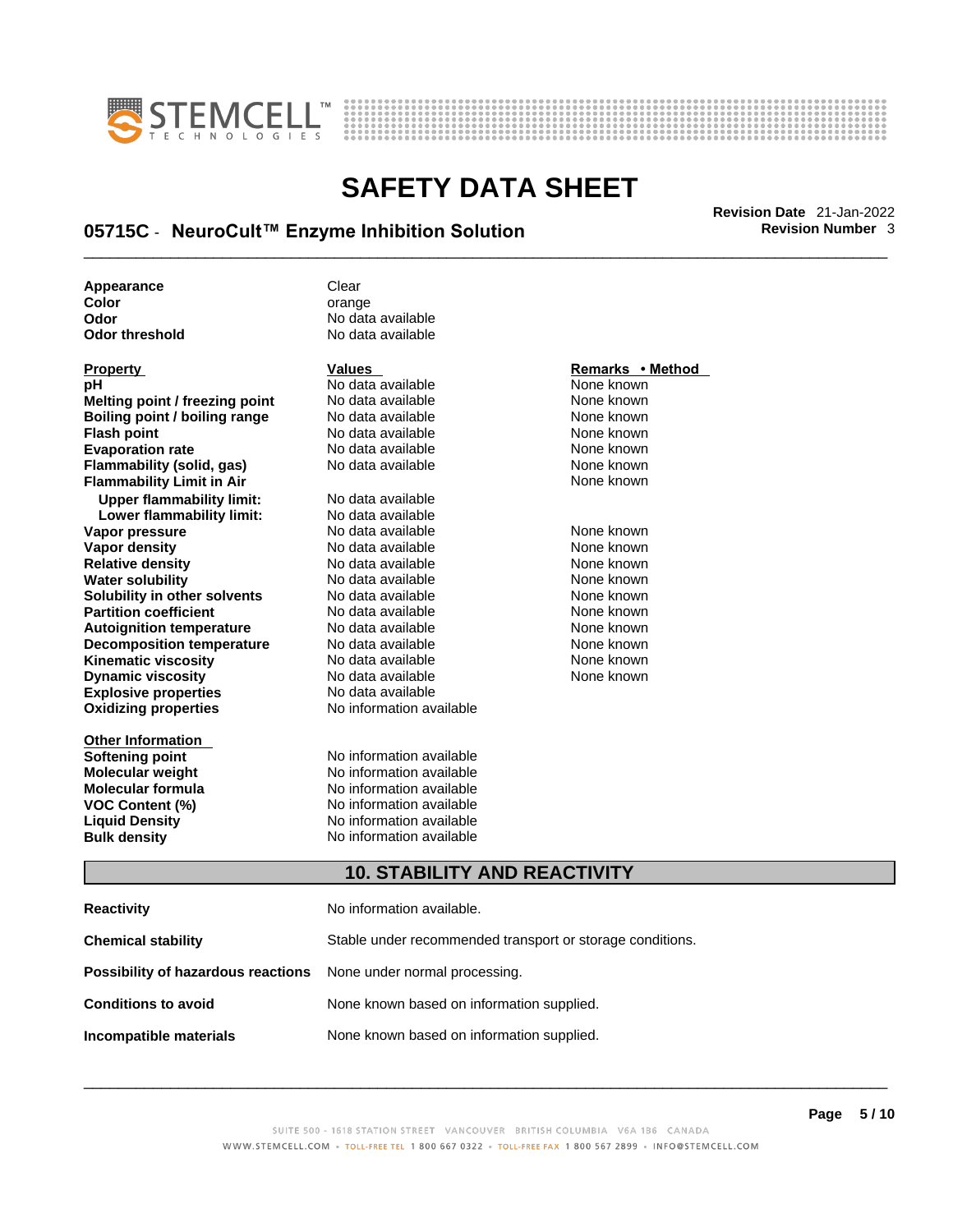



# \_\_\_\_\_\_\_\_\_\_\_\_\_\_\_\_\_\_\_\_\_\_\_\_\_\_\_\_\_\_\_\_\_\_\_\_\_\_\_\_\_\_\_\_\_\_\_\_\_\_\_\_\_\_\_\_\_\_\_\_\_\_\_\_\_\_\_\_\_\_\_\_\_\_\_\_\_\_\_\_\_\_\_\_\_\_\_\_\_\_\_\_\_ **Revision Date** 21-Jan-2022 **05715C** - **NeuroCult™ Enzyme Inhibition Solution Revision Number** 3

**Appearance Clear Color** orange

**Explosive properties**<br> **Oxidizing properties**<br> **Oxidizing properties**<br> **No information available Oxidizing properties Property Remarks • Remarks • Remarks • Remarks • Remarks • Remarks • Remarks • Method pH**<br> **No data available** Mome known<br> **No data available** Mome known<br>
None known **Melting point / freezing point** No data available<br> **Boiling point / boiling range** No data available **Boiling point / boiling range** No data available **None known**<br>
No data available **None known**<br>
None known **Evaporation rate Cone Cone Access Mone Cone Cone Cone Access Provident Cone Cone Access Provident Cone known**<br> **Flammability (solid. gas)** No data available Cone Cone Known **Flammability (solid, gas)** No data available None known **Flammability Limit in Air None known None known Upper flammability limit:** No data available **Lower flammability limit:** No data available **Vapor pressure** 1980 in the Modata available 1980 in the known None known<br> **Vapor density** 1980 in the None Known None known None known **Vapor density** No data available None known **Relative density Water solubility** No data available None known **Solubility in other solvents** No data available None known **Partition coefficient**<br> **Autoignition temperature**<br>
No data available None Known<br>
None known **Autoignition temperature** Mo data available Mone known<br> **Decomposition temperature** No data available None known **Decomposition temperature** No data available<br> **Kinematic viscosity** No data available **Kinematic viscosity No data available None known**<br> **Discussible No data available None known**<br>
None known **Dynamic viscosity No data available None known** 

**Other Information Softening point**<br> **Molecular weight**<br> **Molecular weight**<br> **Molecular weight**<br> **Molecular weight Molecular formula** No information available **VOC Content (%)**<br> **Content (%)**<br>
No information available<br>
No information available **Bulk density No information available** 

**Odor** No data available No data available

**No data available** 

## **10. STABILITY AND REACTIVITY**

| <b>Reactivity</b>                                                       | No information available.                                 |
|-------------------------------------------------------------------------|-----------------------------------------------------------|
| <b>Chemical stability</b>                                               | Stable under recommended transport or storage conditions. |
| <b>Possibility of hazardous reactions</b> None under normal processing. |                                                           |
| <b>Conditions to avoid</b>                                              | None known based on information supplied.                 |
| Incompatible materials                                                  | None known based on information supplied.                 |

**No information available** 

**No information available**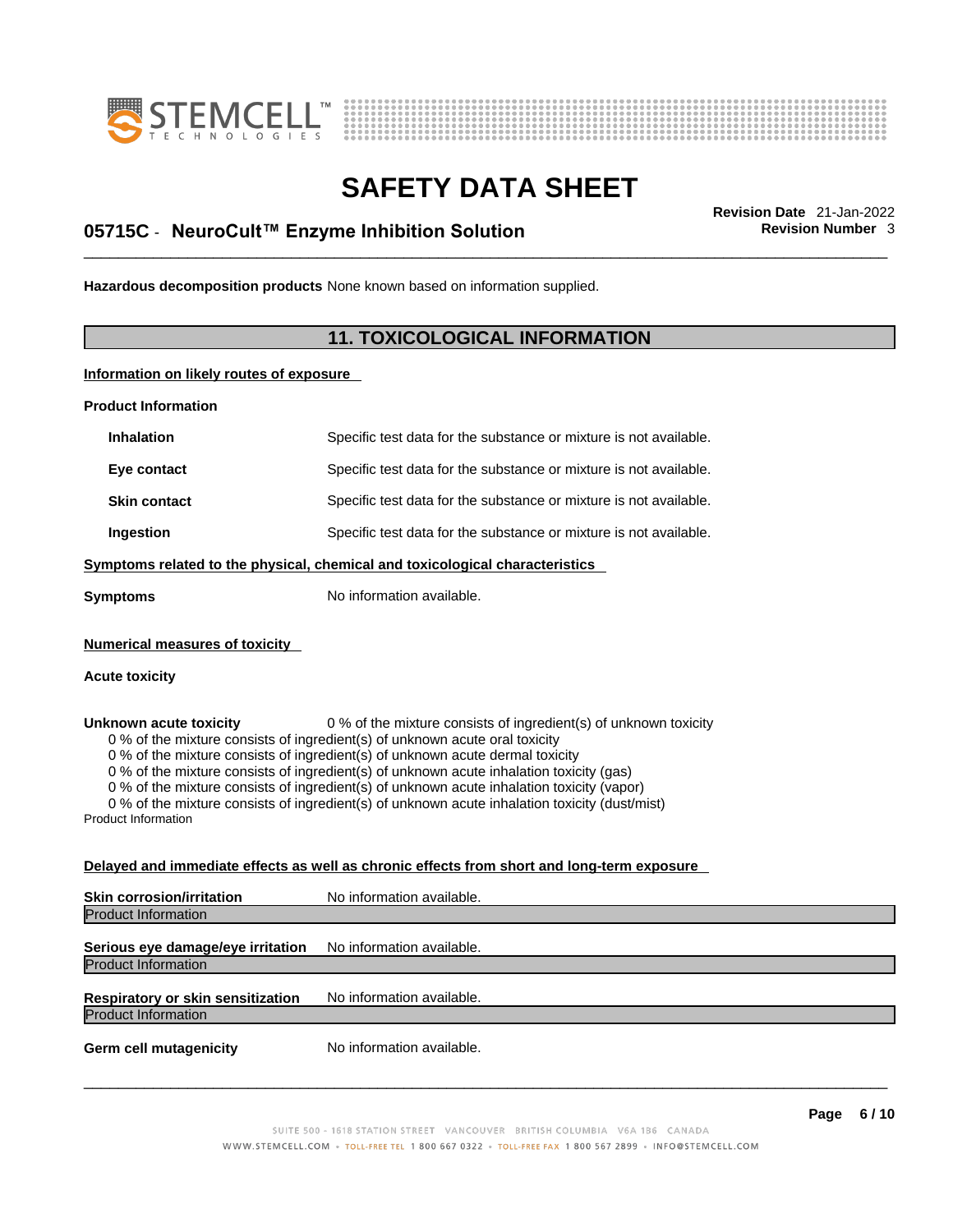



# \_\_\_\_\_\_\_\_\_\_\_\_\_\_\_\_\_\_\_\_\_\_\_\_\_\_\_\_\_\_\_\_\_\_\_\_\_\_\_\_\_\_\_\_\_\_\_\_\_\_\_\_\_\_\_\_\_\_\_\_\_\_\_\_\_\_\_\_\_\_\_\_\_\_\_\_\_\_\_\_\_\_\_\_\_\_\_\_\_\_\_\_\_ **Revision Date** 21-Jan-2022 **05715C** - **NeuroCult™ Enzyme Inhibition Solution Revision Number** 3

**Hazardous decomposition products** None known based on information supplied.

## **11. TOXICOLOGICAL INFORMATION**

**Information on likely routes of exposure**

**Product Information**

| <b>Inhalation</b>                                                                                                      | Specific test data for the substance or mixture is not available.                                                                                                                                                                                                                                                                                                                                                                                                                                                         |
|------------------------------------------------------------------------------------------------------------------------|---------------------------------------------------------------------------------------------------------------------------------------------------------------------------------------------------------------------------------------------------------------------------------------------------------------------------------------------------------------------------------------------------------------------------------------------------------------------------------------------------------------------------|
| Eye contact                                                                                                            | Specific test data for the substance or mixture is not available.                                                                                                                                                                                                                                                                                                                                                                                                                                                         |
| <b>Skin contact</b>                                                                                                    | Specific test data for the substance or mixture is not available.                                                                                                                                                                                                                                                                                                                                                                                                                                                         |
| Ingestion                                                                                                              | Specific test data for the substance or mixture is not available.                                                                                                                                                                                                                                                                                                                                                                                                                                                         |
|                                                                                                                        | Symptoms related to the physical, chemical and toxicological characteristics                                                                                                                                                                                                                                                                                                                                                                                                                                              |
| <b>Symptoms</b>                                                                                                        | No information available.                                                                                                                                                                                                                                                                                                                                                                                                                                                                                                 |
| <b>Numerical measures of toxicity</b><br><b>Acute toxicity</b><br>Unknown acute toxicity<br><b>Product Information</b> | 0 % of the mixture consists of ingredient(s) of unknown toxicity<br>0 % of the mixture consists of ingredient(s) of unknown acute oral toxicity<br>0 % of the mixture consists of ingredient(s) of unknown acute dermal toxicity<br>0 % of the mixture consists of ingredient(s) of unknown acute inhalation toxicity (gas)<br>0 % of the mixture consists of ingredient(s) of unknown acute inhalation toxicity (vapor)<br>0 % of the mixture consists of ingredient(s) of unknown acute inhalation toxicity (dust/mist) |
|                                                                                                                        | Delayed and immediate effects as well as chronic effects from short and long-term exposure                                                                                                                                                                                                                                                                                                                                                                                                                                |
| Skin corrosion/irritation                                                                                              | No information available.                                                                                                                                                                                                                                                                                                                                                                                                                                                                                                 |
| <b>Product Information</b>                                                                                             |                                                                                                                                                                                                                                                                                                                                                                                                                                                                                                                           |
| Serious eye damage/eye irritation                                                                                      | No information available.                                                                                                                                                                                                                                                                                                                                                                                                                                                                                                 |
| <b>Product Information</b>                                                                                             |                                                                                                                                                                                                                                                                                                                                                                                                                                                                                                                           |
| Respiratory or skin sensitization                                                                                      | No information available.                                                                                                                                                                                                                                                                                                                                                                                                                                                                                                 |

Product Information

**Germ cell mutagenicity** No information available.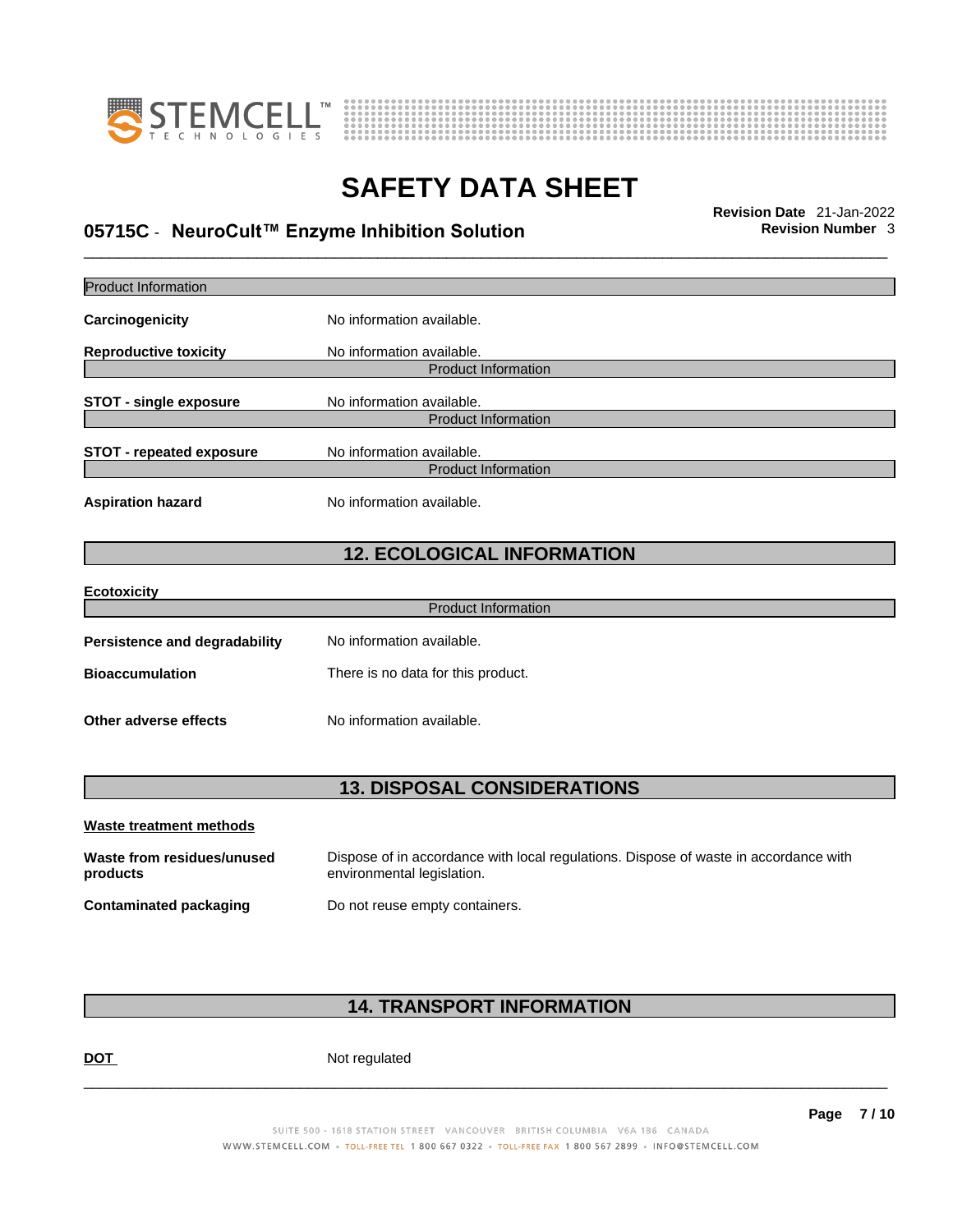



# \_\_\_\_\_\_\_\_\_\_\_\_\_\_\_\_\_\_\_\_\_\_\_\_\_\_\_\_\_\_\_\_\_\_\_\_\_\_\_\_\_\_\_\_\_\_\_\_\_\_\_\_\_\_\_\_\_\_\_\_\_\_\_\_\_\_\_\_\_\_\_\_\_\_\_\_\_\_\_\_\_\_\_\_\_\_\_\_\_\_\_\_\_ **Revision Date** 21-Jan-2022 **05715C** - **NeuroCult™ Enzyme Inhibition Solution Revision Number** 3

| <b>Product Information</b>             |                                                                                                                    |
|----------------------------------------|--------------------------------------------------------------------------------------------------------------------|
| Carcinogenicity                        | No information available.                                                                                          |
| <b>Reproductive toxicity</b>           | No information available<br><b>Product Information</b>                                                             |
| <b>STOT - single exposure</b>          | No information available.<br><b>Product Information</b>                                                            |
| <b>STOT - repeated exposure</b>        | No information available.<br><b>Product Information</b>                                                            |
| <b>Aspiration hazard</b>               | No information available.                                                                                          |
|                                        | <b>12. ECOLOGICAL INFORMATION</b>                                                                                  |
| Ecotoxicity                            |                                                                                                                    |
|                                        | <b>Product Information</b>                                                                                         |
| <b>Persistence and degradability</b>   | No information available.                                                                                          |
| <b>Bioaccumulation</b>                 | There is no data for this product.                                                                                 |
| Other adverse effects                  | No information available.                                                                                          |
|                                        | <b>13. DISPOSAL CONSIDERATIONS</b>                                                                                 |
| Waste treatment methods                |                                                                                                                    |
| Waste from residues/unused<br>products | Dispose of in accordance with local regulations. Dispose of waste in accordance with<br>environmental legislation. |
| <b>Contaminated packaging</b>          | Do not reuse empty containers.                                                                                     |
|                                        |                                                                                                                    |

# **14. TRANSPORT INFORMATION**

DOT Not regulated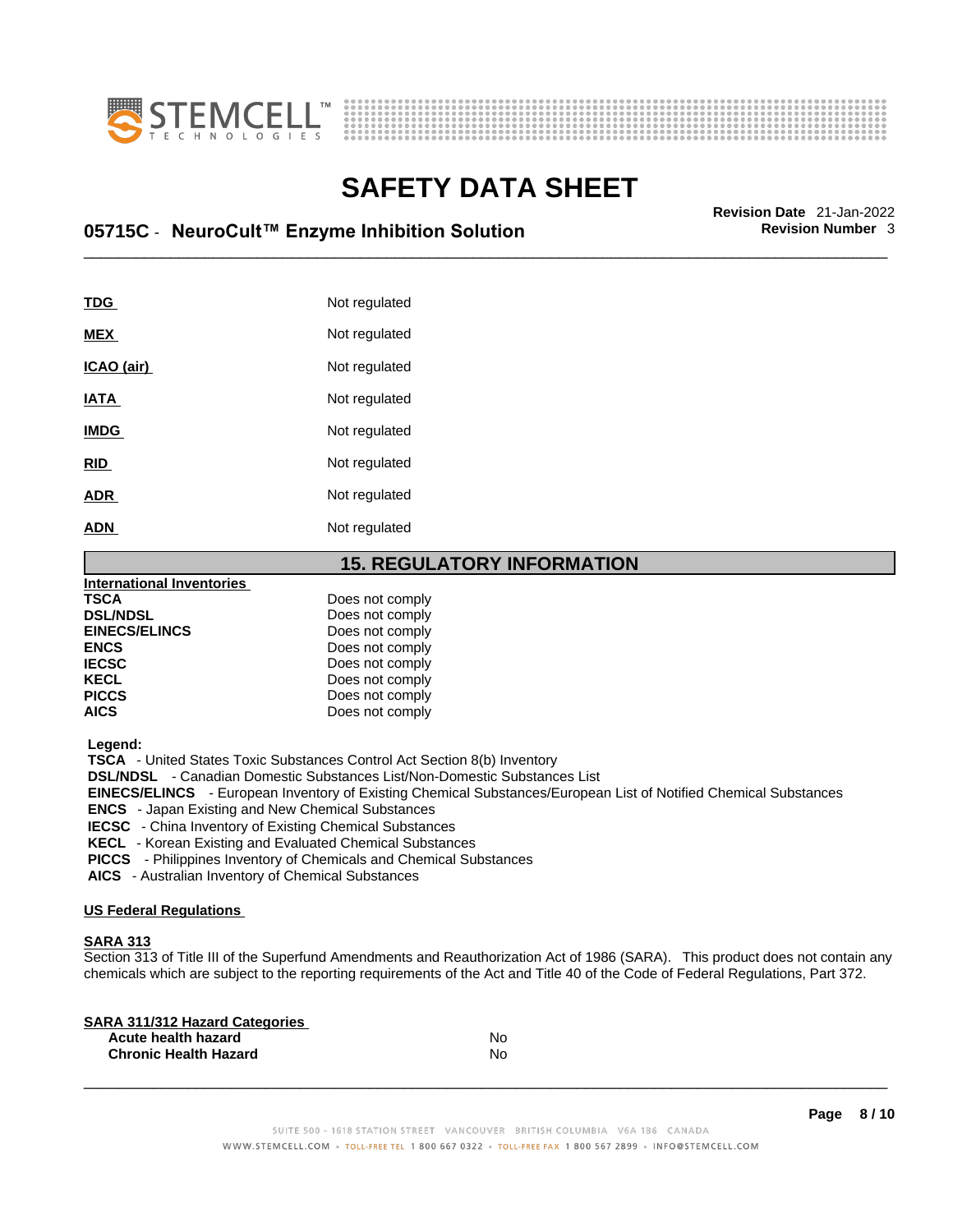



# \_\_\_\_\_\_\_\_\_\_\_\_\_\_\_\_\_\_\_\_\_\_\_\_\_\_\_\_\_\_\_\_\_\_\_\_\_\_\_\_\_\_\_\_\_\_\_\_\_\_\_\_\_\_\_\_\_\_\_\_\_\_\_\_\_\_\_\_\_\_\_\_\_\_\_\_\_\_\_\_\_\_\_\_\_\_\_\_\_\_\_\_\_ **Revision Date** 21-Jan-2022 **05715C** - **NeuroCult™ Enzyme Inhibition Solution Revision Number** 3

| <b>TDG</b>  | Not regulated |
|-------------|---------------|
| <b>MEX</b>  | Not regulated |
| ICAO (air)  | Not regulated |
| <b>IATA</b> | Not regulated |
| <b>IMDG</b> | Not regulated |
| <b>RID</b>  | Not regulated |
| <b>ADR</b>  | Not regulated |
| <b>ADN</b>  | Not regulated |

## **15. REGULATORY INFORMATION**

| <b>International Inventories</b> |                 |  |
|----------------------------------|-----------------|--|
| <b>TSCA</b>                      | Does not comply |  |
| <b>DSL/NDSL</b>                  | Does not comply |  |
| <b>EINECS/ELINCS</b>             | Does not comply |  |
| <b>ENCS</b>                      | Does not comply |  |
| <b>IECSC</b>                     | Does not comply |  |
| <b>KECL</b>                      | Does not comply |  |
| <b>PICCS</b>                     | Does not comply |  |
| <b>AICS</b>                      | Does not comply |  |
|                                  |                 |  |

 **Legend:** 

 **TSCA** - United States Toxic Substances Control Act Section 8(b) Inventory

 **DSL/NDSL** - Canadian Domestic Substances List/Non-Domestic Substances List

 **EINECS/ELINCS** - European Inventory of Existing Chemical Substances/European List of Notified Chemical Substances

 **ENCS** - Japan Existing and New Chemical Substances

 **IECSC** - China Inventory of Existing Chemical Substances

 **KECL** - Korean Existing and Evaluated Chemical Substances

 **PICCS** - Philippines Inventory of Chemicals and Chemical Substances

 **AICS** - Australian Inventory of Chemical Substances

#### **US Federal Regulations**

#### **SARA 313**

Section 313 of Title III of the Superfund Amendments and Reauthorization Act of 1986 (SARA). This product does not contain any chemicals which are subject to the reporting requirements of the Act and Title 40 of the Code of Federal Regulations, Part 372.

| No |  |
|----|--|
| N٥ |  |
|    |  |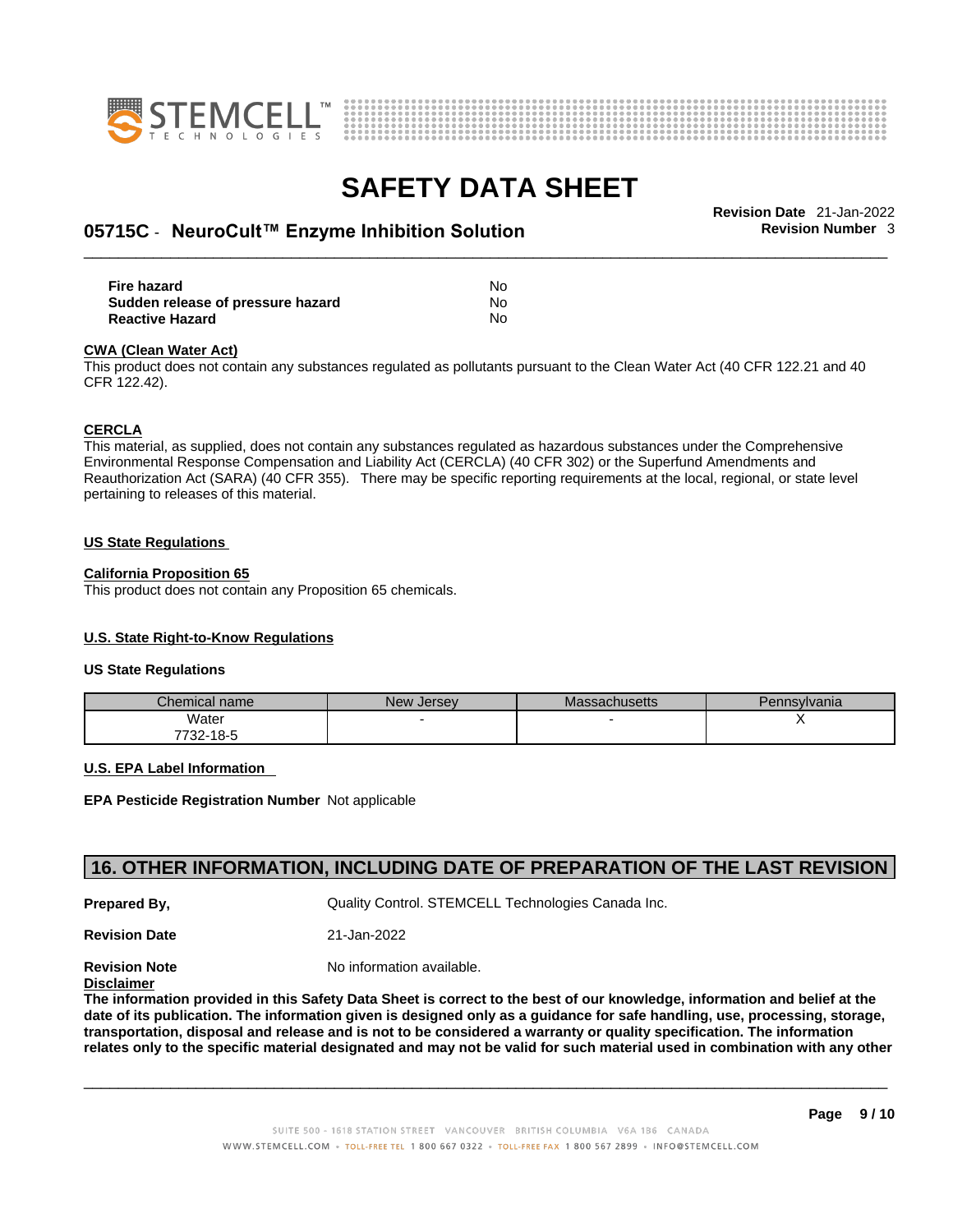



# \_\_\_\_\_\_\_\_\_\_\_\_\_\_\_\_\_\_\_\_\_\_\_\_\_\_\_\_\_\_\_\_\_\_\_\_\_\_\_\_\_\_\_\_\_\_\_\_\_\_\_\_\_\_\_\_\_\_\_\_\_\_\_\_\_\_\_\_\_\_\_\_\_\_\_\_\_\_\_\_\_\_\_\_\_\_\_\_\_\_\_\_\_ **Revision Date** 21-Jan-2022 **05715C** - **NeuroCult™ Enzyme Inhibition Solution Revision Number** 3

| Fire hazard                       | No |
|-----------------------------------|----|
| Sudden release of pressure hazard | No |
| Reactive Hazard                   | No |

#### **CWA** (Clean Water Act)

This product does not contain any substances regulated as pollutants pursuant to the Clean Water Act (40 CFR 122.21 and 40 CFR 122.42).

#### **CERCLA**

This material, as supplied, does not contain any substances regulated as hazardous substances under the Comprehensive Environmental Response Compensation and Liability Act (CERCLA) (40 CFR 302) or the Superfund Amendments and Reauthorization Act (SARA) (40 CFR 355). There may be specific reporting requirements at the local, regional, or state level pertaining to releases of this material.

#### **US State Regulations**

#### **California Proposition 65**

This product does not contain any Proposition 65 chemicals.

#### **U.S. State Right-to-Know Regulations**

#### **US State Regulations**

| Chemical name     | New<br><b>Jersey</b> | <b>Massachusetts</b> | Pennsylvania |
|-------------------|----------------------|----------------------|--------------|
| Water             |                      |                      |              |
| 7700.<br>732-18-5 |                      |                      |              |

#### **U.S. EPA Label Information**

**EPA Pesticide Registration Number** Not applicable

## **16. OTHER INFORMATION, INCLUDING DATE OF PREPARATION OF THE LAST REVISION**

**Prepared By, Cuality Control. STEMCELL Technologies Canada Inc.** 

**Revision Date** 21-Jan-2022

**Revision Note** Noinformation available.

### **Disclaimer**

The information provided in this Safety Data Sheet is correct to the best of our knowledge, information and belief at the date of its publication. The information given is designed only as a guidance for safe handling, use, processing, storage, transportation, disposal and release and is not to be considered a warranty or quality specification. The information relates only to the specific material designated and may not be valid for such material used in combination with any other